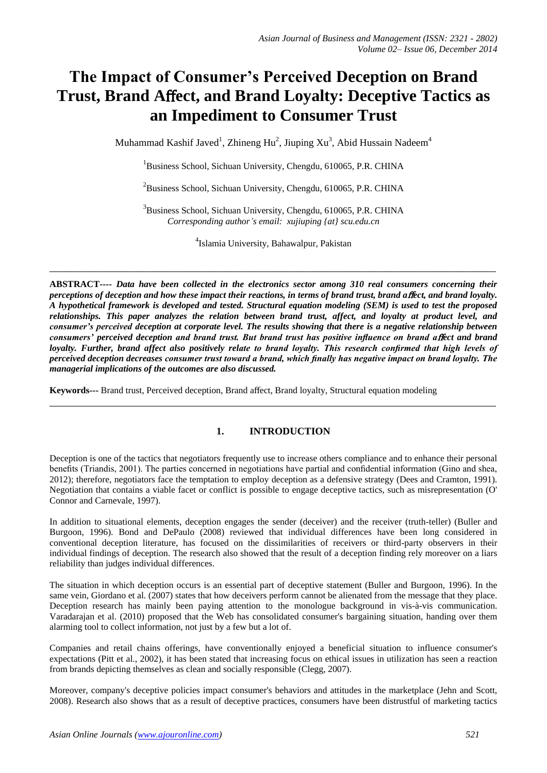# **The Impact of Consumer's Perceived Deception on Brand Trust, Brand A**ff**ect, and Brand Loyalty: Deceptive Tactics as an Impediment to Consumer Trust**

Muhammad Kashif Javed<sup>1</sup>, Zhineng Hu<sup>2</sup>, Jiuping Xu<sup>3</sup>, Abid Hussain Nadeem<sup>4</sup>

<sup>1</sup>Business School, Sichuan University, Chengdu, 610065, P.R. CHINA

 $^{2}$ Business School, Sichuan University, Chengdu, 610065, P.R. CHINA

<sup>3</sup>Business School, Sichuan University, Chengdu, 610065, P.R. CHINA *Corresponding author's email: xujiuping {at} scu.edu.cn*

4 Islamia University, Bahawalpur, Pakistan

\_\_\_\_\_\_\_\_\_\_\_\_\_\_\_\_\_\_\_\_\_\_\_\_\_\_\_\_\_\_\_\_\_\_\_\_\_\_\_\_\_\_\_\_\_\_\_\_\_\_\_\_\_\_\_\_\_\_\_\_\_\_\_\_\_\_\_\_\_\_\_\_\_\_\_\_\_\_\_\_\_

**ABSTRACT----** *Data have been collected in the electronics sector among 310 real consumers concerning their perceptions of deception and how these impact their reactions, in terms of brand trust, brand a*ff*ect, and brand loyalty. A hypothetical framework is developed and tested. Structural equation modeling (SEM) is used to test the proposed relationships. This paper analyzes the relation between brand trust, affect, and loyalty at product level, and consumer's perceived deception at corporate level. The results showing that there is a negative relationship between consumers' perceived deception and brand trust. But brand trust has positive influence on brand a*ff*ect and brand loyalty. Further, brand affect also positively relate to brand loyalty. This research confirmed that high levels of perceived deception decreases consumer trust toward a brand, which finally has negative impact on brand loyalty. The managerial implications of the outcomes are also discussed.* 

**Keywords---** Brand trust, Perceived deception, Brand affect, Brand loyalty, Structural equation modeling

## **1. INTRODUCTION**

\_\_\_\_\_\_\_\_\_\_\_\_\_\_\_\_\_\_\_\_\_\_\_\_\_\_\_\_\_\_\_\_\_\_\_\_\_\_\_\_\_\_\_\_\_\_\_\_\_\_\_\_\_\_\_\_\_\_\_\_\_\_\_\_\_\_\_\_\_\_\_\_\_\_\_\_\_\_\_\_\_

Deception is one of the tactics that negotiators frequently use to increase others compliance and to enhance their personal benefits (Triandis, 2001). The parties concerned in negotiations have partial and confidential information (Gino and shea, 2012); therefore, negotiators face the temptation to employ deception as a defensive strategy (Dees and Cramton, 1991). Negotiation that contains a viable facet or conflict is possible to engage deceptive tactics, such as misrepresentation (O' Connor and Carnevale, 1997).

In addition to situational elements, deception engages the sender (deceiver) and the receiver (truth-teller) (Buller and Burgoon, 1996). Bond and DePaulo (2008) reviewed that individual differences have been long considered in conventional deception literature, has focused on the dissimilarities of receivers or third-party observers in their individual findings of deception. The research also showed that the result of a deception finding rely moreover on a liars reliability than judges individual differences.

The situation in which deception occurs is an essential part of deceptive statement (Buller and Burgoon, 1996). In the same vein, Giordano et al. (2007) states that how deceivers perform cannot be alienated from the message that they place. Deception research has mainly been paying attention to the monologue background in vis-à-vis communication. Varadarajan et al. (2010) proposed that the Web has consolidated consumer's bargaining situation, handing over them alarming tool to collect information, not just by a few but a lot of.

Companies and retail chains offerings, have conventionally enjoyed a beneficial situation to influence consumer's expectations (Pitt et al., 2002), it has been stated that increasing focus on ethical issues in utilization has seen a reaction from brands depicting themselves as clean and socially responsible (Clegg, 2007).

Moreover, company's deceptive policies impact consumer's behaviors and attitudes in the marketplace (Jehn and Scott, 2008). Research also shows that as a result of deceptive practices, consumers have been distrustful of marketing tactics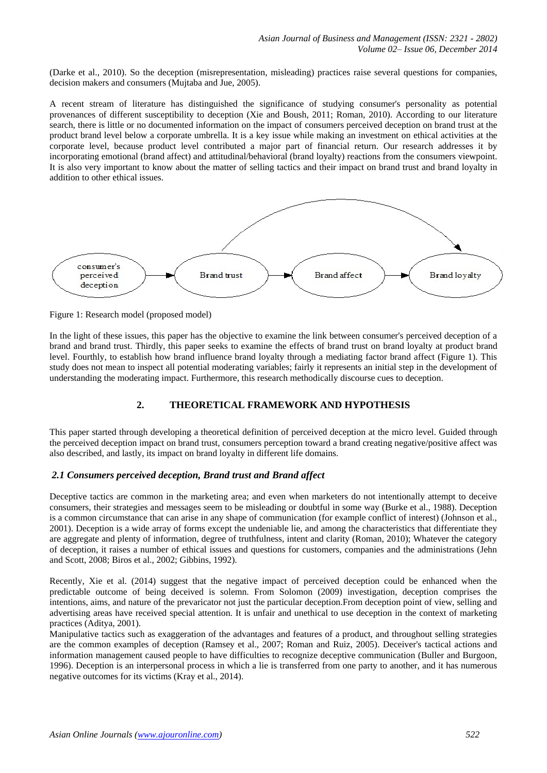(Darke et al., 2010). So the deception (misrepresentation, misleading) practices raise several questions for companies, decision makers and consumers (Mujtaba and Jue, 2005).

A recent stream of literature has distinguished the significance of studying consumer's personality as potential provenances of different susceptibility to deception (Xie and Boush, 2011; Roman, 2010). According to our literature search, there is little or no documented information on the impact of consumers perceived deception on brand trust at the product brand level below a corporate umbrella. It is a key issue while making an investment on ethical activities at the corporate level, because product level contributed a major part of financial return. Our research addresses it by incorporating emotional (brand affect) and attitudinal/behavioral (brand loyalty) reactions from the consumers viewpoint. It is also very important to know about the matter of selling tactics and their impact on brand trust and brand loyalty in addition to other ethical issues.



Figure 1: Research model (proposed model)

In the light of these issues, this paper has the objective to examine the link between consumer's perceived deception of a brand and brand trust. Thirdly, this paper seeks to examine the effects of brand trust on brand loyalty at product brand level. Fourthly, to establish how brand influence brand loyalty through a mediating factor brand affect (Figure 1). This study does not mean to inspect all potential moderating variables; fairly it represents an initial step in the development of understanding the moderating impact. Furthermore, this research methodically discourse cues to deception.

## **2. THEORETICAL FRAMEWORK AND HYPOTHESIS**

This paper started through developing a theoretical definition of perceived deception at the micro level. Guided through the perceived deception impact on brand trust, consumers perception toward a brand creating negative/positive affect was also described, and lastly, its impact on brand loyalty in different life domains.

## *2.1 Consumers perceived deception, Brand trust and Brand affect*

Deceptive tactics are common in the marketing area; and even when marketers do not intentionally attempt to deceive consumers, their strategies and messages seem to be misleading or doubtful in some way (Burke et al., 1988). Deception is a common circumstance that can arise in any shape of communication (for example conflict of interest) (Johnson et al., 2001). Deception is a wide array of forms except the undeniable lie, and among the characteristics that differentiate they are aggregate and plenty of information, degree of truthfulness, intent and clarity (Roman, 2010); Whatever the category of deception, it raises a number of ethical issues and questions for customers, companies and the administrations (Jehn and Scott, 2008; Biros et al., 2002; Gibbins, 1992).

Recently, Xie et al. (2014) suggest that the negative impact of perceived deception could be enhanced when the predictable outcome of being deceived is solemn. From Solomon (2009) investigation, deception comprises the intentions, aims, and nature of the prevaricator not just the particular deception.From deception point of view, selling and advertising areas have received special attention. It is unfair and unethical to use deception in the context of marketing practices (Aditya, 2001).

Manipulative tactics such as exaggeration of the advantages and features of a product, and throughout selling strategies are the common examples of deception (Ramsey et al., 2007; Roman and Ruiz, 2005). Deceiver's tactical actions and information management caused people to have difficulties to recognize deceptive communication (Buller and Burgoon, 1996). Deception is an interpersonal process in which a lie is transferred from one party to another, and it has numerous negative outcomes for its victims (Kray et al., 2014).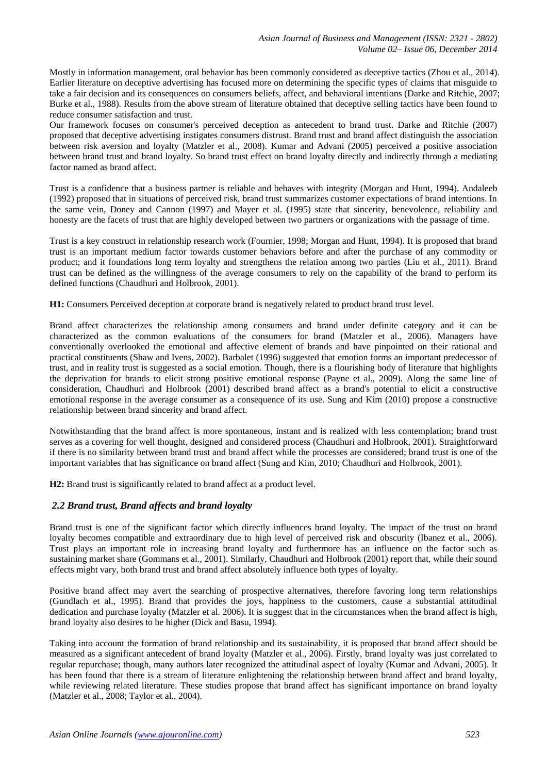Mostly in information management, oral behavior has been commonly considered as deceptive tactics (Zhou et al., 2014). Earlier literature on deceptive advertising has focused more on determining the specific types of claims that misguide to take a fair decision and its consequences on consumers beliefs, affect, and behavioral intentions (Darke and Ritchie, 2007; Burke et al., 1988). Results from the above stream of literature obtained that deceptive selling tactics have been found to reduce consumer satisfaction and trust.

Our framework focuses on consumer's perceived deception as antecedent to brand trust. Darke and Ritchie (2007) proposed that deceptive advertising instigates consumers distrust. Brand trust and brand affect distinguish the association between risk aversion and loyalty (Matzler et al., 2008). Kumar and Advani (2005) perceived a positive association between brand trust and brand loyalty. So brand trust effect on brand loyalty directly and indirectly through a mediating factor named as brand affect.

Trust is a confidence that a business partner is reliable and behaves with integrity (Morgan and Hunt, 1994). Andaleeb (1992) proposed that in situations of perceived risk, brand trust summarizes customer expectations of brand intentions. In the same vein, Doney and Cannon (1997) and Mayer et al. (1995) state that sincerity, benevolence, reliability and honesty are the facets of trust that are highly developed between two partners or organizations with the passage of time.

Trust is a key construct in relationship research work (Fournier, 1998; Morgan and Hunt, 1994). It is proposed that brand trust is an important medium factor towards customer behaviors before and after the purchase of any commodity or product; and it foundations long term loyalty and strengthens the relation among two parties (Liu et al., 2011). Brand trust can be defined as the willingness of the average consumers to rely on the capability of the brand to perform its defined functions (Chaudhuri and Holbrook, 2001).

**H1:** Consumers Perceived deception at corporate brand is negatively related to product brand trust level.

Brand affect characterizes the relationship among consumers and brand under definite category and it can be characterized as the common evaluations of the consumers for brand (Matzler et al., 2006). Managers have conventionally overlooked the emotional and affective element of brands and have pinpointed on their rational and practical constituents (Shaw and Ivens, 2002). Barbalet (1996) suggested that emotion forms an important predecessor of trust, and in reality trust is suggested as a social emotion. Though, there is a flourishing body of literature that highlights the deprivation for brands to elicit strong positive emotional response (Payne et al., 2009). Along the same line of consideration, Chaudhuri and Holbrook (2001) described brand affect as a brand's potential to elicit a constructive emotional response in the average consumer as a consequence of its use. Sung and Kim (2010) propose a constructive relationship between brand sincerity and brand affect.

Notwithstanding that the brand affect is more spontaneous, instant and is realized with less contemplation; brand trust serves as a covering for well thought, designed and considered process (Chaudhuri and Holbrook, 2001). Straightforward if there is no similarity between brand trust and brand affect while the processes are considered; brand trust is one of the important variables that has significance on brand affect (Sung and Kim, 2010; Chaudhuri and Holbrook, 2001).

**H2:** Brand trust is significantly related to brand affect at a product level.

## *2.2 Brand trust, Brand affects and brand loyalty*

Brand trust is one of the significant factor which directly influences brand loyalty. The impact of the trust on brand loyalty becomes compatible and extraordinary due to high level of perceived risk and obscurity (Ibanez et al., 2006). Trust plays an important role in increasing brand loyalty and furthermore has an influence on the factor such as sustaining market share (Gommans et al., 2001). Similarly, Chaudhuri and Holbrook (2001) report that, while their sound effects might vary, both brand trust and brand affect absolutely influence both types of loyalty.

Positive brand affect may avert the searching of prospective alternatives, therefore favoring long term relationships (Gundlach et al., 1995). Brand that provides the joys, happiness to the customers, cause a substantial attitudinal dedication and purchase loyalty (Matzler et al. 2006). It is suggest that in the circumstances when the brand affect is high, brand loyalty also desires to be higher (Dick and Basu, 1994).

Taking into account the formation of brand relationship and its sustainability, it is proposed that brand affect should be measured as a significant antecedent of brand loyalty (Matzler et al., 2006). Firstly, brand loyalty was just correlated to regular repurchase; though, many authors later recognized the attitudinal aspect of loyalty (Kumar and Advani, 2005). It has been found that there is a stream of literature enlightening the relationship between brand affect and brand loyalty, while reviewing related literature. These studies propose that brand affect has significant importance on brand loyalty (Matzler et al., 2008; Taylor et al., 2004).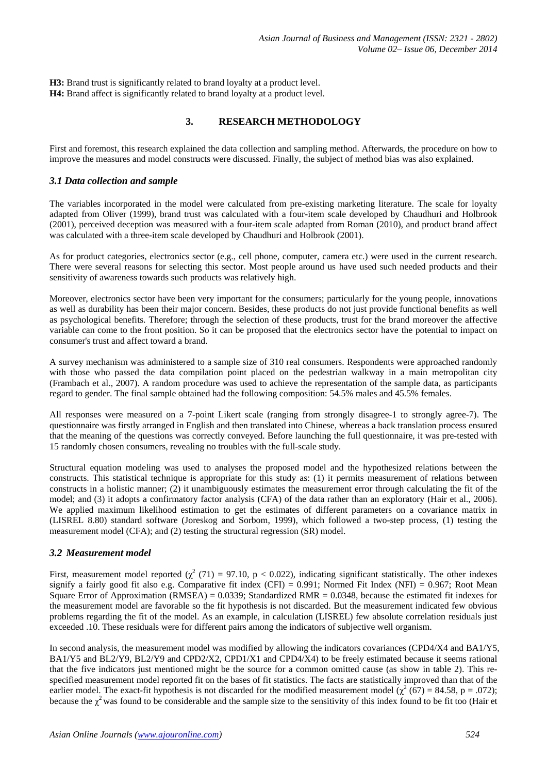**H3:** Brand trust is significantly related to brand loyalty at a product level. **H4:** Brand affect is significantly related to brand loyalty at a product level.

## **3. RESEARCH METHODOLOGY**

First and foremost, this research explained the data collection and sampling method. Afterwards, the procedure on how to improve the measures and model constructs were discussed. Finally, the subject of method bias was also explained.

## *3.1 Data collection and sample*

The variables incorporated in the model were calculated from pre-existing marketing literature. The scale for loyalty adapted from Oliver (1999), brand trust was calculated with a four-item scale developed by Chaudhuri and Holbrook (2001), perceived deception was measured with a four-item scale adapted from Roman (2010), and product brand affect was calculated with a three-item scale developed by Chaudhuri and Holbrook (2001).

As for product categories, electronics sector (e.g., cell phone, computer, camera etc.) were used in the current research. There were several reasons for selecting this sector. Most people around us have used such needed products and their sensitivity of awareness towards such products was relatively high.

Moreover, electronics sector have been very important for the consumers; particularly for the young people, innovations as well as durability has been their major concern. Besides, these products do not just provide functional benefits as well as psychological benefits. Therefore; through the selection of these products, trust for the brand moreover the affective variable can come to the front position. So it can be proposed that the electronics sector have the potential to impact on consumer's trust and affect toward a brand.

A survey mechanism was administered to a sample size of 310 real consumers. Respondents were approached randomly with those who passed the data compilation point placed on the pedestrian walkway in a main metropolitan city (Frambach et al., 2007). A random procedure was used to achieve the representation of the sample data, as participants regard to gender. The final sample obtained had the following composition: 54.5% males and 45.5% females.

All responses were measured on a 7-point Likert scale (ranging from strongly disagree-1 to strongly agree-7). The questionnaire was firstly arranged in English and then translated into Chinese, whereas a back translation process ensured that the meaning of the questions was correctly conveyed. Before launching the full questionnaire, it was pre-tested with 15 randomly chosen consumers, revealing no troubles with the full-scale study.

Structural equation modeling was used to analyses the proposed model and the hypothesized relations between the constructs. This statistical technique is appropriate for this study as: (1) it permits measurement of relations between constructs in a holistic manner; (2) it unambiguously estimates the measurement error through calculating the fit of the model; and (3) it adopts a confirmatory factor analysis (CFA) of the data rather than an exploratory (Hair et al., 2006). We applied maximum likelihood estimation to get the estimates of different parameters on a covariance matrix in (LISREL 8.80) standard software (Joreskog and Sorbom, 1999), which followed a two-step process, (1) testing the measurement model (CFA); and (2) testing the structural regression (SR) model.

## *3.2 Measurement model*

First, measurement model reported ( $\chi^2$  (71) = 97.10, p < 0.022), indicating significant statistically. The other indexes signify a fairly good fit also e.g. Comparative fit index (CFI) = 0.991; Normed Fit Index (NFI) = 0.967; Root Mean Square Error of Approximation (RMSEA) = 0.0339; Standardized RMR = 0.0348, because the estimated fit indexes for the measurement model are favorable so the fit hypothesis is not discarded. But the measurement indicated few obvious problems regarding the fit of the model. As an example, in calculation (LISREL) few absolute correlation residuals just exceeded .10. These residuals were for different pairs among the indicators of subjective well organism.

In second analysis, the measurement model was modified by allowing the indicators covariances (CPD4/X4 and BA1/Y5, BA1/Y5 and BL2/Y9, BL2/Y9 and CPD2/X2, CPD1/X1 and CPD4/X4) to be freely estimated because it seems rational that the five indicators just mentioned might be the source for a common omitted cause (as show in table 2). This respecified measurement model reported fit on the bases of fit statistics. The facts are statistically improved than that of the earlier model. The exact-fit hypothesis is not discarded for the modified measurement model  $(\chi^2 (67) = 84.58, p = .072)$ ; because the  $\chi^2$  was found to be considerable and the sample size to the sensitivity of this index found to be fit too (Hair et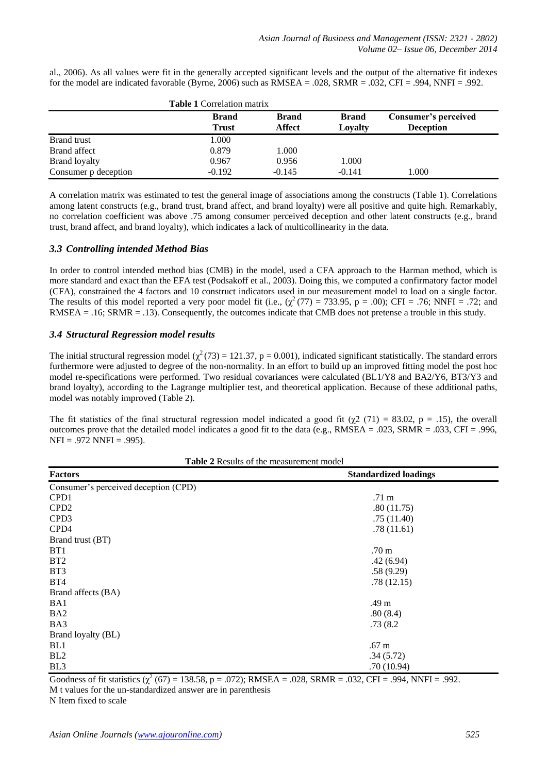al., 2006). As all values were fit in the generally accepted significant levels and the output of the alternative fit indexes for the model are indicated favorable (Byrne, 2006) such as  $RMSEA = .028$ ,  $SRMR = .032$ ,  $CFI = .994$ ,  $NNFI = .992$ .

|                      | <b>Table 1 Correlation matrix</b> |                        |                         |                                          |  |
|----------------------|-----------------------------------|------------------------|-------------------------|------------------------------------------|--|
|                      | <b>Brand</b><br><b>Trust</b>      | <b>Brand</b><br>Affect | <b>Brand</b><br>Lovalty | Consumer's perceived<br><b>Deception</b> |  |
| Brand trust          | 1.000                             |                        |                         |                                          |  |
| Brand affect         | 0.879                             | 1.000                  |                         |                                          |  |
| Brand loyalty        | 0.967                             | 0.956                  | 1.000                   |                                          |  |
| Consumer p deception | $-0.192$                          | $-0.145$               | $-0.141$                | 1.000                                    |  |

A correlation matrix was estimated to test the general image of associations among the constructs (Table 1). Correlations among latent constructs (e.g., brand trust, brand affect, and brand loyalty) were all positive and quite high. Remarkably, no correlation coefficient was above .75 among consumer perceived deception and other latent constructs (e.g., brand trust, brand affect, and brand loyalty), which indicates a lack of multicollinearity in the data.

## *3.3 Controlling intended Method Bias*

In order to control intended method bias (CMB) in the model, used a CFA approach to the Harman method, which is more standard and exact than the EFA test (Podsakoff et al., 2003). Doing this, we computed a confirmatory factor model (CFA), constrained the 4 factors and 10 construct indicators used in our measurement model to load on a single factor. The results of this model reported a very poor model fit (i.e.,  $(\chi^2(77) = 733.95, p = .00)$ ; CFI = .76; NNFI = .72; and RMSEA = .16; SRMR = .13). Consequently, the outcomes indicate that CMB does not pretense a trouble in this study.

## *3.4 Structural Regression model results*

The initial structural regression model ( $\chi^2(73) = 121.37$ , p = 0.001), indicated significant statistically. The standard errors furthermore were adjusted to degree of the non-normality. In an effort to build up an improved fitting model the post hoc model re-specifications were performed. Two residual covariances were calculated (BL1/Y8 and BA2/Y6, BT3/Y3 and brand loyalty), according to the Lagrange multiplier test, and theoretical application. Because of these additional paths, model was notably improved (Table 2).

The fit statistics of the final structural regression model indicated a good fit ( $\chi$ 2 (71) = 83.02, p = .15), the overall outcomes prove that the detailed model indicates a good fit to the data (e.g.,  $RMSEA = .023$ ,  $SRMR = .033$ ,  $CFI = .996$ ,  $NFI = .972 NNFI = .995$ .

| <b>Table 2</b> Results of the measurement model |                              |  |  |  |
|-------------------------------------------------|------------------------------|--|--|--|
| <b>Factors</b>                                  | <b>Standardized loadings</b> |  |  |  |
| Consumer's perceived deception (CPD)            |                              |  |  |  |
| CPD1                                            | .71 m                        |  |  |  |
| CPD <sub>2</sub>                                | .80(11.75)                   |  |  |  |
| CPD <sub>3</sub>                                | .75(11.40)                   |  |  |  |
| CPD4                                            | .78(11.61)                   |  |  |  |
| Brand trust (BT)                                |                              |  |  |  |
| B <sub>T1</sub>                                 | .70 m                        |  |  |  |
| BT2                                             | .42(6.94)                    |  |  |  |
| BT <sub>3</sub>                                 | .58(9.29)                    |  |  |  |
| BT4                                             | .78(12.15)                   |  |  |  |
| Brand affects (BA)                              |                              |  |  |  |
| BA1                                             | .49 m                        |  |  |  |
| BA <sub>2</sub>                                 | .80(8.4)                     |  |  |  |
| BA3                                             | .73(8.2)                     |  |  |  |
| Brand loyalty (BL)                              |                              |  |  |  |
| BL <sub>1</sub>                                 | .67 <sub>m</sub>             |  |  |  |
| BL <sub>2</sub>                                 | .34(5.72)                    |  |  |  |
| BL <sub>3</sub>                                 | .70(10.94)                   |  |  |  |

Goodness of fit statistics  $(\chi^2 (67) = 138.58, p = .072)$ ; RMSEA = .028, SRMR = .032, CFI = .994, NNFI = .992. M t values for the un-standardized answer are in parenthesis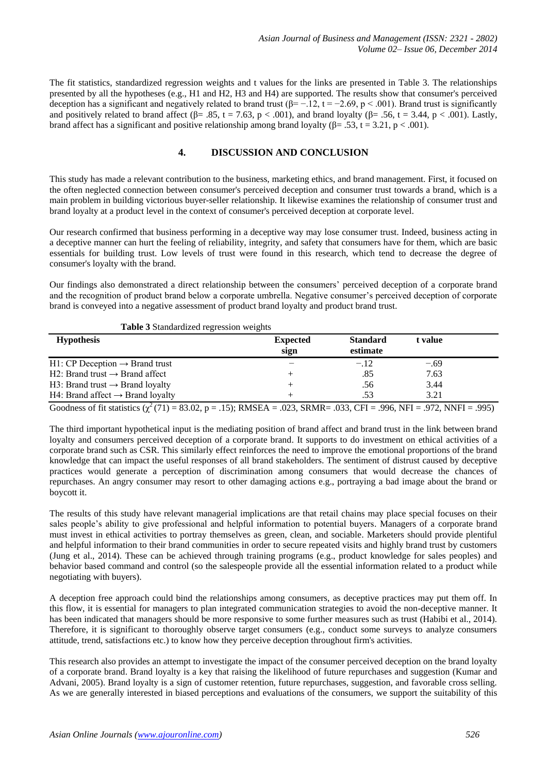The fit statistics, standardized regression weights and t values for the links are presented in Table 3. The relationships presented by all the hypotheses (e.g., H1 and H2, H3 and H4) are supported. The results show that consumer's perceived deception has a significant and negatively related to brand trust ( $\beta$ = -.12, t = -2.69, p < .001). Brand trust is significantly and positively related to brand affect ( $\beta$ = .85, t = 7.63, p < .001), and brand loyalty ( $\beta$ = .56, t = 3.44, p < .001). Lastly, brand affect has a significant and positive relationship among brand loyalty ( $\beta$ = .53, t = 3.21, p < .001).

## **4. DISCUSSION AND CONCLUSION**

This study has made a relevant contribution to the business, marketing ethics, and brand management. First, it focused on the often neglected connection between consumer's perceived deception and consumer trust towards a brand, which is a main problem in building victorious buyer-seller relationship. It likewise examines the relationship of consumer trust and brand loyalty at a product level in the context of consumer's perceived deception at corporate level.

Our research confirmed that business performing in a deceptive way may lose consumer trust. Indeed, business acting in a deceptive manner can hurt the feeling of reliability, integrity, and safety that consumers have for them, which are basic essentials for building trust. Low levels of trust were found in this research, which tend to decrease the degree of consumer's loyalty with the brand.

Our findings also demonstrated a direct relationship between the consumers' perceived deception of a corporate brand and the recognition of product brand below a corporate umbrella. Negative consumer's perceived deception of corporate brand is conveyed into a negative assessment of product brand loyalty and product brand trust.

| <b>Table 3 Standardized regression weights</b> |                         |                             |         |  |
|------------------------------------------------|-------------------------|-----------------------------|---------|--|
| <b>Hypothesis</b>                              | <b>Expected</b><br>sign | <b>Standard</b><br>estimate | t value |  |
| $H1: CP$ Deception $\rightarrow$ Brand trust   |                         | $-.12$                      | $-.69$  |  |
| H2: Brand trust $\rightarrow$ Brand affect     |                         | .85                         | 7.63    |  |
| H3: Brand trust $\rightarrow$ Brand loyalty    |                         | .56                         | 3.44    |  |
| H4: Brand affect $\rightarrow$ Brand loyalty   |                         | .53                         | 3.21    |  |
|                                                |                         |                             |         |  |

Goodness of fit statistics  $(\chi^2(71) = 83.02, p = .15)$ ; RMSEA = .023, SRMR= .033, CFI = .996, NFI = .972, NNFI = .995)

The third important hypothetical input is the mediating position of brand affect and brand trust in the link between brand loyalty and consumers perceived deception of a corporate brand. It supports to do investment on ethical activities of a corporate brand such as CSR. This similarly effect reinforces the need to improve the emotional proportions of the brand knowledge that can impact the useful responses of all brand stakeholders. The sentiment of distrust caused by deceptive practices would generate a perception of discrimination among consumers that would decrease the chances of repurchases. An angry consumer may resort to other damaging actions e.g., portraying a bad image about the brand or boycott it.

The results of this study have relevant managerial implications are that retail chains may place special focuses on their sales people's ability to give professional and helpful information to potential buyers. Managers of a corporate brand must invest in ethical activities to portray themselves as green, clean, and sociable. Marketers should provide plentiful and helpful information to their brand communities in order to secure repeated visits and highly brand trust by customers (Jung et al., 2014). These can be achieved through training programs (e.g., product knowledge for sales peoples) and behavior based command and control (so the salespeople provide all the essential information related to a product while negotiating with buyers).

A deception free approach could bind the relationships among consumers, as deceptive practices may put them off. In this flow, it is essential for managers to plan integrated communication strategies to avoid the non-deceptive manner. It has been indicated that managers should be more responsive to some further measures such as trust (Habibi et al., 2014). Therefore, it is significant to thoroughly observe target consumers (e.g., conduct some surveys to analyze consumers attitude, trend, satisfactions etc.) to know how they perceive deception throughout firm's activities.

This research also provides an attempt to investigate the impact of the consumer perceived deception on the brand loyalty of a corporate brand. Brand loyalty is a key that raising the likelihood of future repurchases and suggestion (Kumar and Advani, 2005). Brand loyalty is a sign of customer retention, future repurchases, suggestion, and favorable cross selling. As we are generally interested in biased perceptions and evaluations of the consumers, we support the suitability of this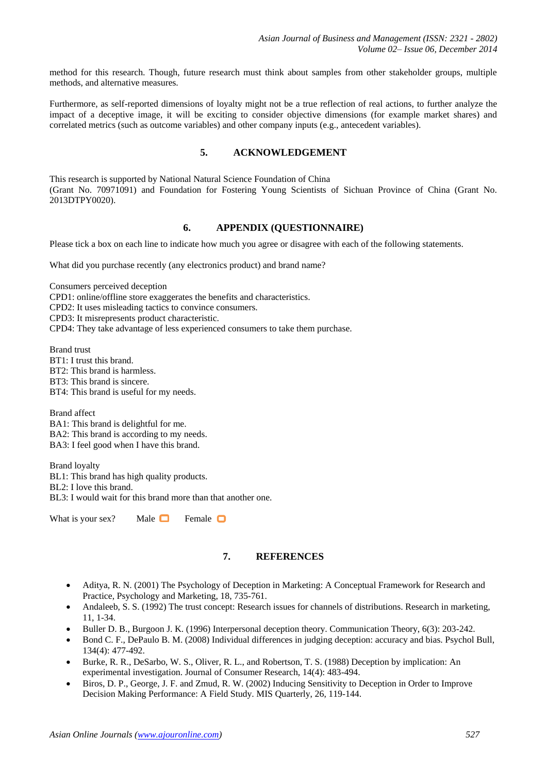method for this research. Though, future research must think about samples from other stakeholder groups, multiple methods, and alternative measures.

Furthermore, as self-reported dimensions of loyalty might not be a true reflection of real actions, to further analyze the impact of a deceptive image, it will be exciting to consider objective dimensions (for example market shares) and correlated metrics (such as outcome variables) and other company inputs (e.g., antecedent variables).

## **5. ACKNOWLEDGEMENT**

This research is supported by National Natural Science Foundation of China (Grant No. 70971091) and Foundation for Fostering Young Scientists of Sichuan Province of China (Grant No. 2013DTPY0020).

## **6. APPENDIX (QUESTIONNAIRE)**

Please tick a box on each line to indicate how much you agree or disagree with each of the following statements.

What did you purchase recently (any electronics product) and brand name?

Consumers perceived deception

CPD1: online/offline store exaggerates the benefits and characteristics.

CPD2: It uses misleading tactics to convince consumers.

CPD3: It misrepresents product characteristic.

CPD4: They take advantage of less experienced consumers to take them purchase.

Brand trust BT1: I trust this brand. BT2: This brand is harmless. BT3: This brand is sincere. BT4: This brand is useful for my needs.

Brand affect BA1: This brand is delightful for me. BA2: This brand is according to my needs. BA3: I feel good when I have this brand.

Brand loyalty BL1: This brand has high quality products. BL2: I love this brand.

BL3: I would wait for this brand more than that another one.

What is your sex? Male  $\Box$  Female  $\Box$ 

#### **7. REFERENCES**

- Aditya, R. N. (2001) The Psychology of Deception in Marketing: A Conceptual Framework for Research and Practice, Psychology and Marketing, 18, 735-761.
- Andaleeb, S. S. (1992) The trust concept: Research issues for channels of distributions. Research in marketing, 11, 1-34.
- Buller D. B., Burgoon J. K. (1996) Interpersonal deception theory. Communication Theory, 6(3): 203-242.
- Bond C. F., DePaulo B. M. (2008) Individual differences in judging deception: accuracy and bias. Psychol Bull, 134(4): 477-492.
- Burke, R. R., DeSarbo, W. S., Oliver, R. L., and Robertson, T. S. (1988) Deception by implication: An experimental investigation. Journal of Consumer Research, 14(4): 483-494.
- Biros, D. P., George, J. F. and Zmud, R. W. (2002) Inducing Sensitivity to Deception in Order to Improve Decision Making Performance: A Field Study. MIS Quarterly, 26, 119-144.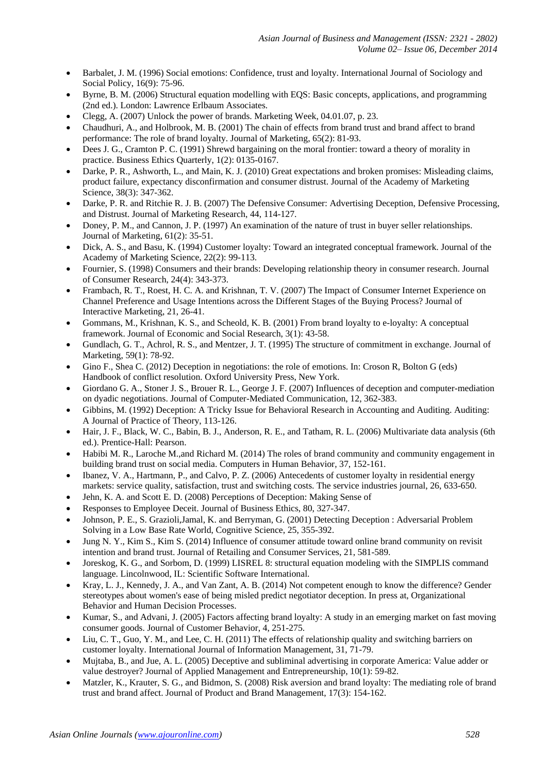- Barbalet, J. M. (1996) Social emotions: Confidence, trust and loyalty. International Journal of Sociology and Social Policy, 16(9): 75-96.
- Byrne, B. M. (2006) Structural equation modelling with EQS: Basic concepts, applications, and programming (2nd ed.). London: Lawrence Erlbaum Associates.
- Clegg, A. (2007) Unlock the power of brands. Marketing Week, 04.01.07, p. 23.
- Chaudhuri, A., and Holbrook, M. B. (2001) The chain of effects from brand trust and brand affect to brand performance: The role of brand loyalty. Journal of Marketing, 65(2): 81-93.
- Dees J. G., Cramton P. C. (1991) Shrewd bargaining on the moral frontier: toward a theory of morality in practice. Business Ethics Quarterly, 1(2): 0135-0167.
- Darke, P. R., Ashworth, L., and Main, K. J. (2010) Great expectations and broken promises: Misleading claims, product failure, expectancy disconfirmation and consumer distrust. Journal of the Academy of Marketing Science, 38(3): 347-362.
- Darke, P. R. and Ritchie R. J. B. (2007) The Defensive Consumer: Advertising Deception, Defensive Processing, and Distrust. Journal of Marketing Research, 44, 114-127.
- Doney, P. M., and Cannon, J. P. (1997) An examination of the nature of trust in buyer seller relationships. Journal of Marketing, 61(2): 35-51.
- Dick, A. S., and Basu, K. (1994) Customer loyalty: Toward an integrated conceptual framework. Journal of the Academy of Marketing Science, 22(2): 99-113.
- Fournier, S. (1998) Consumers and their brands: Developing relationship theory in consumer research. Journal of Consumer Research, 24(4): 343-373.
- Frambach, R. T., Roest, H. C. A. and Krishnan, T. V. (2007) The Impact of Consumer Internet Experience on Channel Preference and Usage Intentions across the Different Stages of the Buying Process? Journal of Interactive Marketing, 21, 26-41.
- Gommans, M., Krishnan, K. S., and Scheold, K. B. (2001) From brand loyalty to e-loyalty: A conceptual framework. Journal of Economic and Social Research, 3(1): 43-58.
- Gundlach, G. T., Achrol, R. S., and Mentzer, J. T. (1995) The structure of commitment in exchange. Journal of Marketing, 59(1): 78-92.
- Gino F., Shea C. (2012) Deception in negotiations: the role of emotions. In: Croson R, Bolton G (eds) Handbook of conflict resolution. Oxford University Press, New York.
- Giordano G. A., Stoner J. S., Brouer R. L., George J. F. (2007) Influences of deception and computer-mediation on dyadic negotiations. Journal of Computer-Mediated Communication, 12, 362-383.
- Gibbins, M. (1992) Deception: A Tricky Issue for Behavioral Research in Accounting and Auditing. Auditing: A Journal of Practice of Theory, 113-126.
- Hair, J. F., Black, W. C., Babin, B. J., Anderson, R. E., and Tatham, R. L. (2006) Multivariate data analysis (6th ed.). Prentice-Hall: Pearson.
- Habibi M. R., Laroche M.,and Richard M. (2014) The roles of brand community and community engagement in building brand trust on social media. Computers in Human Behavior, 37, 152-161.
- Ibanez, V. A., Hartmann, P., and Calvo, P. Z. (2006) Antecedents of customer loyalty in residential energy markets: service quality, satisfaction, trust and switching costs. The service industries journal, 26, 633-650.
- Jehn, K. A. and Scott E. D. (2008) Perceptions of Deception: Making Sense of
- Responses to Employee Deceit. Journal of Business Ethics, 80, 327-347.
- Johnson, P. E., S. Grazioli,Jamal, K. and Berryman, G. (2001) Detecting Deception : Adversarial Problem Solving in a Low Base Rate World, Cognitive Science, 25, 355-392.
- Jung N. Y., Kim S., Kim S. (2014) Influence of consumer attitude toward online brand community on revisit intention and brand trust. Journal of Retailing and Consumer Services, 21, 581-589.
- Joreskog, K. G., and Sorbom, D. (1999) LISREL 8: structural equation modeling with the SIMPLIS command language. Lincolnwood, IL: Scientific Software International.
- Kray, L. J., Kennedy, J. A., and Van Zant, A. B. (2014) Not competent enough to know the difference? Gender stereotypes about women's ease of being misled predict negotiator deception. In press at, Organizational Behavior and Human Decision Processes.
- Kumar, S., and Advani, J. (2005) Factors affecting brand loyalty: A study in an emerging market on fast moving consumer goods. Journal of Customer Behavior, 4, 251-275.
- Liu, C. T., Guo, Y. M., and Lee, C. H. (2011) The effects of relationship quality and switching barriers on customer loyalty. International Journal of Information Management, 31, 71-79.
- Mujtaba, B., and Jue, A. L. (2005) Deceptive and subliminal advertising in corporate America: Value adder or value destroyer? Journal of Applied Management and Entrepreneurship, 10(1): 59-82.
- Matzler, K., Krauter, S. G., and Bidmon, S. (2008) Risk aversion and brand loyalty: The mediating role of brand trust and brand affect. Journal of Product and Brand Management, 17(3): 154-162.